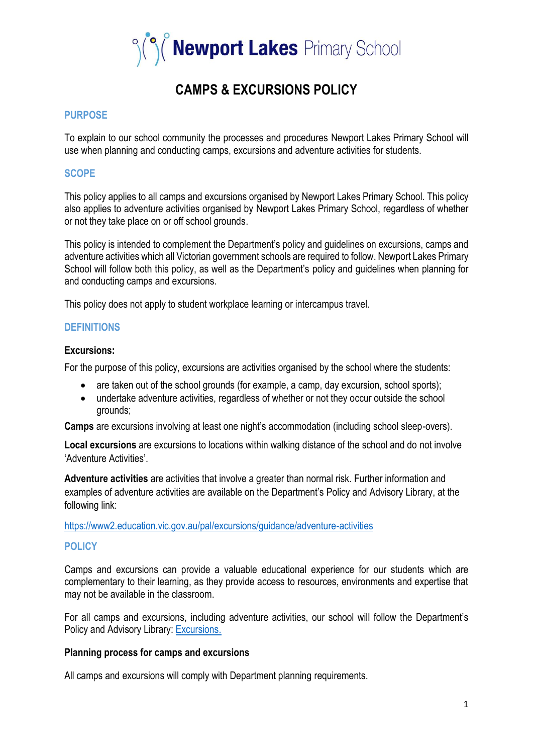

# **CAMPS & EXCURSIONS POLICY**

## **PURPOSE**

To explain to our school community the processes and procedures Newport Lakes Primary School will use when planning and conducting camps, excursions and adventure activities for students.

# **SCOPE**

This policy applies to all camps and excursions organised by Newport Lakes Primary School. This policy also applies to adventure activities organised by Newport Lakes Primary School, regardless of whether or not they take place on or off school grounds.

This policy is intended to complement the Department's policy and guidelines on excursions, camps and adventure activities which all Victorian government schools are required to follow. Newport Lakes Primary School will follow both this policy, as well as the Department's policy and guidelines when planning for and conducting camps and excursions.

This policy does not apply to student workplace learning or intercampus travel.

## **DEFINITIONS**

#### **Excursions:**

For the purpose of this policy, excursions are activities organised by the school where the students:

- are taken out of the school grounds (for example, a camp, day excursion, school sports);
- undertake adventure activities, regardless of whether or not they occur outside the school grounds;

**Camps** are excursions involving at least one night's accommodation (including school sleep-overs).

**Local excursions** are excursions to locations within walking distance of the school and do not involve 'Adventure Activities'.

**Adventure activities** are activities that involve a greater than normal risk. Further information and examples of adventure activities are available on the Department's Policy and Advisory Library, at the following link:

<https://www2.education.vic.gov.au/pal/excursions/guidance/adventure-activities>

#### **POLICY**

Camps and excursions can provide a valuable educational experience for our students which are complementary to their learning, as they provide access to resources, environments and expertise that may not be available in the classroom.

For all camps and excursions, including adventure activities, our school will follow the Department's Policy and Advisory Library: [Excursions.](https://www2.education.vic.gov.au/pal/excursions/policy)

#### **Planning process for camps and excursions**

All camps and excursions will comply with Department planning requirements.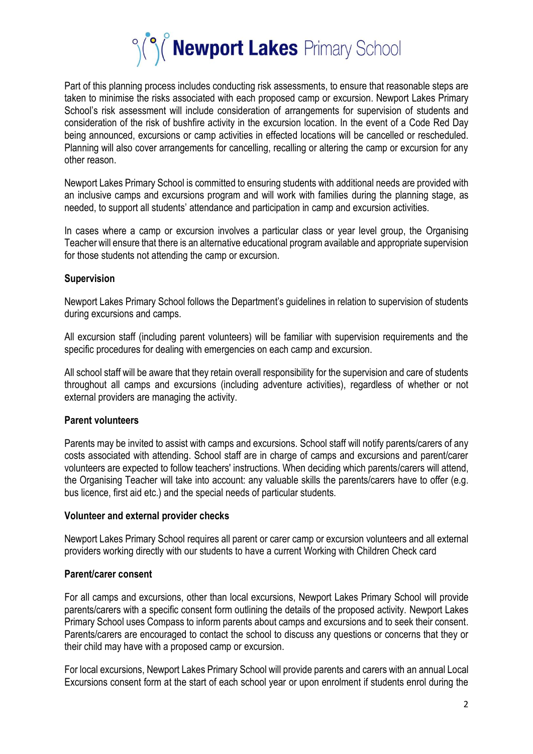

Part of this planning process includes conducting risk assessments, to ensure that reasonable steps are taken to minimise the risks associated with each proposed camp or excursion. Newport Lakes Primary School's risk assessment will include consideration of arrangements for supervision of students and consideration of the risk of bushfire activity in the excursion location. In the event of a Code Red Day being announced, excursions or camp activities in effected locations will be cancelled or rescheduled. Planning will also cover arrangements for cancelling, recalling or altering the camp or excursion for any other reason.

Newport Lakes Primary School is committed to ensuring students with additional needs are provided with an inclusive camps and excursions program and will work with families during the planning stage, as needed, to support all students' attendance and participation in camp and excursion activities.

In cases where a camp or excursion involves a particular class or year level group, the Organising Teacher will ensure that there is an alternative educational program available and appropriate supervision for those students not attending the camp or excursion.

## **Supervision**

Newport Lakes Primary School follows the Department's guidelines in relation to supervision of students during excursions and camps.

All excursion staff (including parent volunteers) will be familiar with supervision requirements and the specific procedures for dealing with emergencies on each camp and excursion.

All school staff will be aware that they retain overall responsibility for the supervision and care of students throughout all camps and excursions (including adventure activities), regardless of whether or not external providers are managing the activity.

# **Parent volunteers**

Parents may be invited to assist with camps and excursions. School staff will notify parents/carers of any costs associated with attending. School staff are in charge of camps and excursions and parent/carer volunteers are expected to follow teachers' instructions. When deciding which parents/carers will attend, the Organising Teacher will take into account: any valuable skills the parents/carers have to offer (e.g. bus licence, first aid etc.) and the special needs of particular students.

#### **Volunteer and external provider checks**

Newport Lakes Primary School requires all parent or carer camp or excursion volunteers and all external providers working directly with our students to have a current Working with Children Check card

#### **Parent/carer consent**

For all camps and excursions, other than local excursions, Newport Lakes Primary School will provide parents/carers with a specific consent form outlining the details of the proposed activity. Newport Lakes Primary School uses Compass to inform parents about camps and excursions and to seek their consent. Parents/carers are encouraged to contact the school to discuss any questions or concerns that they or their child may have with a proposed camp or excursion.

For local excursions, Newport Lakes Primary School will provide parents and carers with an annual Local Excursions consent form at the start of each school year or upon enrolment if students enrol during the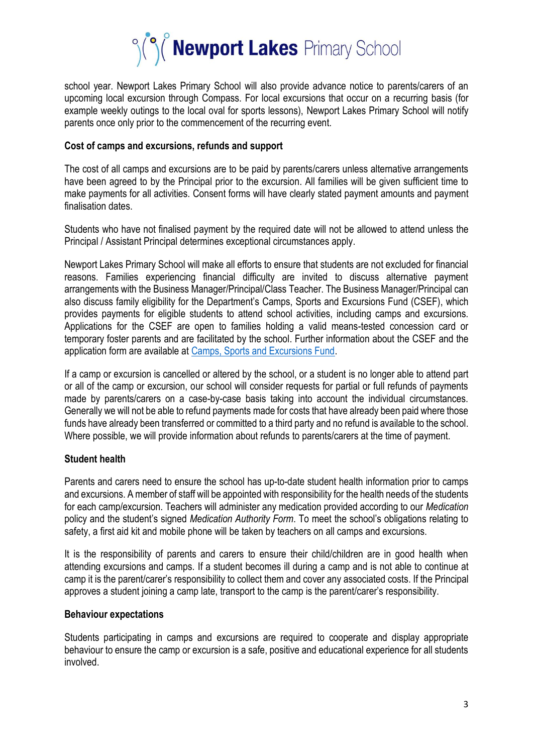

school year. Newport Lakes Primary School will also provide advance notice to parents/carers of an upcoming local excursion through Compass. For local excursions that occur on a recurring basis (for example weekly outings to the local oval for sports lessons), Newport Lakes Primary School will notify parents once only prior to the commencement of the recurring event.

#### **Cost of camps and excursions, refunds and support**

The cost of all camps and excursions are to be paid by parents/carers unless alternative arrangements have been agreed to by the Principal prior to the excursion. All families will be given sufficient time to make payments for all activities. Consent forms will have clearly stated payment amounts and payment finalisation dates.

Students who have not finalised payment by the required date will not be allowed to attend unless the Principal / Assistant Principal determines exceptional circumstances apply.

Newport Lakes Primary School will make all efforts to ensure that students are not excluded for financial reasons. Families experiencing financial difficulty are invited to discuss alternative payment arrangements with the Business Manager/Principal/Class Teacher. The Business Manager/Principal can also discuss family eligibility for the Department's Camps, Sports and Excursions Fund (CSEF), which provides payments for eligible students to attend school activities, including camps and excursions. Applications for the CSEF are open to families holding a valid means-tested concession card or temporary foster parents and are facilitated by the school. Further information about the CSEF and the application form are available a[t Camps, Sports and Excursions Fund.](https://www2.education.vic.gov.au/pal/camps-sports-and-excursions-fund/policy)

If a camp or excursion is cancelled or altered by the school, or a student is no longer able to attend part or all of the camp or excursion, our school will consider requests for partial or full refunds of payments made by parents/carers on a case-by-case basis taking into account the individual circumstances. Generally we will not be able to refund payments made for costs that have already been paid where those funds have already been transferred or committed to a third party and no refund is available to the school. Where possible, we will provide information about refunds to parents/carers at the time of payment.

# **Student health**

Parents and carers need to ensure the school has up-to-date student health information prior to camps and excursions. A member of staff will be appointed with responsibility for the health needs of the students for each camp/excursion. Teachers will administer any medication provided according to our *Medication* policy and the student's signed *Medication Authority Form*. To meet the school's obligations relating to safety, a first aid kit and mobile phone will be taken by teachers on all camps and excursions.

It is the responsibility of parents and carers to ensure their child/children are in good health when attending excursions and camps. If a student becomes ill during a camp and is not able to continue at camp it is the parent/carer's responsibility to collect them and cover any associated costs. If the Principal approves a student joining a camp late, transport to the camp is the parent/carer's responsibility.

#### **Behaviour expectations**

Students participating in camps and excursions are required to cooperate and display appropriate behaviour to ensure the camp or excursion is a safe, positive and educational experience for all students involved.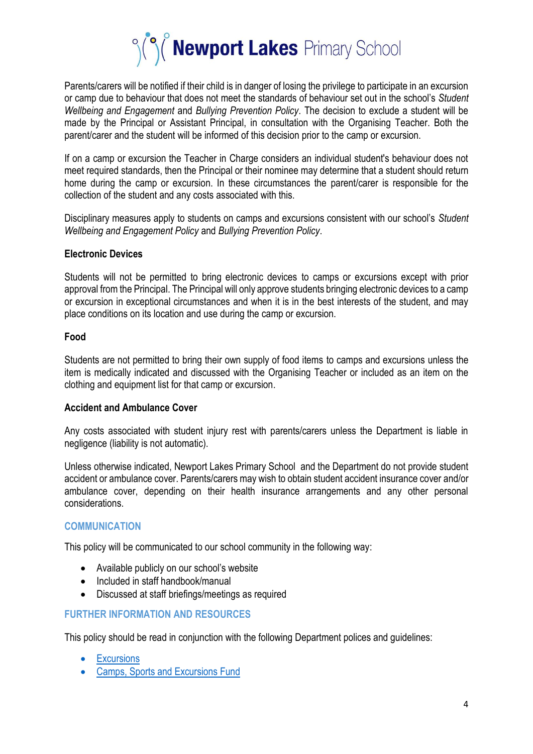

Parents/carers will be notified if their child is in danger of losing the privilege to participate in an excursion or camp due to behaviour that does not meet the standards of behaviour set out in the school's *Student Wellbeing and Engagement* and *Bullying Prevention Policy*. The decision to exclude a student will be made by the Principal or Assistant Principal, in consultation with the Organising Teacher. Both the parent/carer and the student will be informed of this decision prior to the camp or excursion.

If on a camp or excursion the Teacher in Charge considers an individual student's behaviour does not meet required standards, then the Principal or their nominee may determine that a student should return home during the camp or excursion. In these circumstances the parent/carer is responsible for the collection of the student and any costs associated with this.

Disciplinary measures apply to students on camps and excursions consistent with our school's *Student Wellbeing and Engagement Policy* and *Bullying Prevention Policy*.

## **Electronic Devices**

Students will not be permitted to bring electronic devices to camps or excursions except with prior approval from the Principal. The Principal will only approve students bringing electronic devices to a camp or excursion in exceptional circumstances and when it is in the best interests of the student, and may place conditions on its location and use during the camp or excursion.

## **Food**

Students are not permitted to bring their own supply of food items to camps and excursions unless the item is medically indicated and discussed with the Organising Teacher or included as an item on the clothing and equipment list for that camp or excursion.

#### **Accident and Ambulance Cover**

Any costs associated with student injury rest with parents/carers unless the Department is liable in negligence (liability is not automatic).

Unless otherwise indicated, Newport Lakes Primary School and the Department do not provide student accident or ambulance cover. Parents/carers may wish to obtain student accident insurance cover and/or ambulance cover, depending on their health insurance arrangements and any other personal considerations.

# **COMMUNICATION**

This policy will be communicated to our school community in the following way:

- Available publicly on our school's website
- Included in staff handbook/manual
- Discussed at staff briefings/meetings as required

# **FURTHER INFORMATION AND RESOURCES**

This policy should be read in conjunction with the following Department polices and guidelines:

- [Excursions](https://www2.education.vic.gov.au/pal/excursions/policy)
- [Camps, Sports and Excursions Fund](https://www2.education.vic.gov.au/pal/camps-sports-and-excursions-fund/policy)